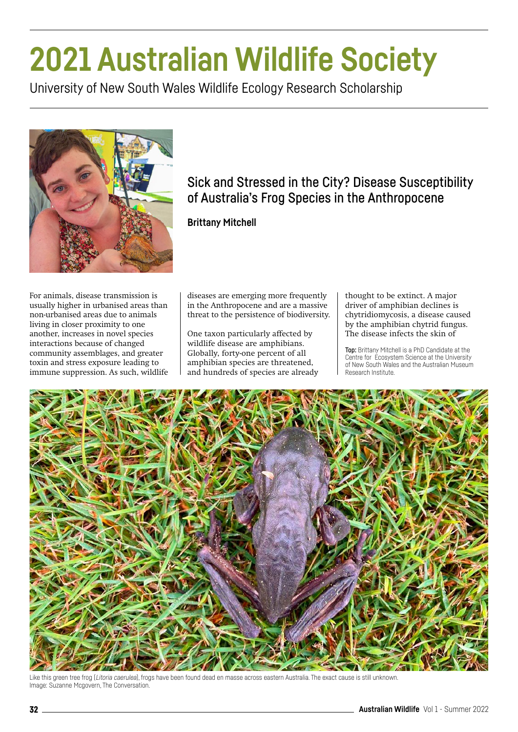## **2021 Australian Wildlife Society**

University of New South Wales Wildlife Ecology Research Scholarship



## Sick and Stressed in the City? Disease Susceptibility of Australia's Frog Species in the Anthropocene

**Brittany Mitchell**

For animals, disease transmission is usually higher in urbanised areas than non-urbanised areas due to animals living in closer proximity to one another, increases in novel species interactions because of changed community assemblages, and greater toxin and stress exposure leading to immune suppression. As such, wildlife

diseases are emerging more frequently in the Anthropocene and are a massive threat to the persistence of biodiversity.

One taxon particularly affected by wildlife disease are amphibians. Globally, forty-one percent of all amphibian species are threatened, and hundreds of species are already thought to be extinct. A major driver of amphibian declines is chytridiomycosis, a disease caused by the amphibian chytrid fungus. The disease infects the skin of

Top: Brittany Mitchell is a PhD Candidate at the Centre for Ecosystem Science at the University of New South Wales and the Australian Museum Research Institute.



Like this green tree frog (Litoria caerulea), frogs have been found dead en masse across eastern Australia. The exact cause is still unknown. Image: Suzanne Mcgovern, The Conversation.